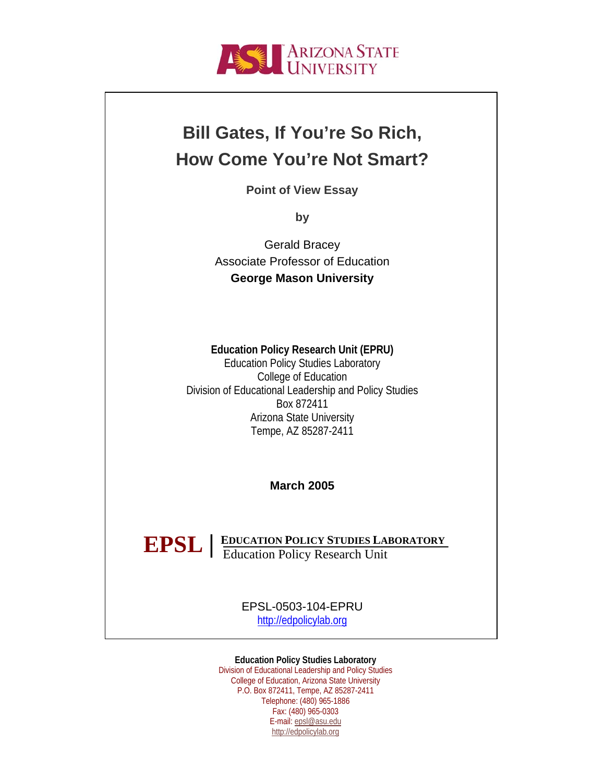

## **Bill Gates, If You're So Rich, How Come You're Not Smart?**

**Point of View Essay** 

**by**

Gerald Bracey Associate Professor of Education **George Mason University**

## **Education Policy Research Unit (EPRU)**

Education Policy Studies Laboratory College of Education Division of Educational Leadership and Policy Studies Box 872411 Arizona State University Tempe, AZ 85287-2411

**March 2005** 

**EDUCATION POLICY STUDIES LABORATORY EPSL** | EDUCATION POLICY STUDIES LAI

> EPSL-0503-104-EPRU [http://edpolicylab.org](http://edpolicylab.org/)

**Education Policy Studies Laboratory** 

Division of Educational Leadership and Policy Studies College of Education, Arizona State University P.O. Box 872411, Tempe, AZ 85287-2411 Telephone: (480) 965-1886 Fax: (480) 965-0303 E-mail: [epsl@asu.edu](mailto:epsl@asu.edu) [http://edpolicylab.org](http://edpolicylab.org/)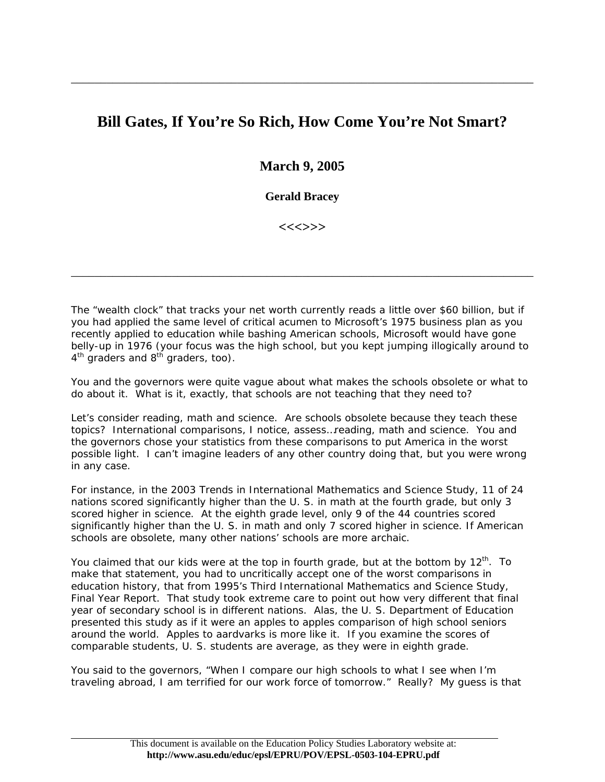## **Bill Gates, If You're So Rich, How Come You're Not Smart?**

\_\_\_\_\_\_\_\_\_\_\_\_\_\_\_\_\_\_\_\_\_\_\_\_\_\_\_\_\_\_\_\_\_\_\_\_\_\_\_\_\_\_\_\_\_\_\_\_\_\_\_\_\_\_\_\_\_\_\_\_\_\_\_\_\_\_\_\_\_\_\_\_\_\_\_\_\_\_

**March 9, 2005** 

**Gerald Bracey** 

**<<<>>>** 

\_\_\_\_\_\_\_\_\_\_\_\_\_\_\_\_\_\_\_\_\_\_\_\_\_\_\_\_\_\_\_\_\_\_\_\_\_\_\_\_\_\_\_\_\_\_\_\_\_\_\_\_\_\_\_\_\_\_\_\_\_\_\_\_\_\_\_\_\_\_\_\_\_\_\_\_\_\_

The "wealth clock" that tracks your net worth currently reads a little over \$60 billion, but if you had applied the same level of critical acumen to Microsoft's 1975 business plan as you recently applied to education while bashing American schools, Microsoft would have gone belly-up in 1976 (your focus was the high school, but you kept jumping illogically around to  $4<sup>th</sup>$  graders and  $8<sup>th</sup>$  graders, too).

You and the governors were quite vague about what makes the schools obsolete or what to do about it. What is it, exactly, that schools are not teaching that they need to?

Let's consider reading, math and science. Are schools obsolete because they teach these topics? International comparisons, I notice, assess…reading, math and science. You and the governors chose your statistics from these comparisons to put America in the worst possible light. I can't imagine leaders of any other country doing that, but you were wrong in any case.

For instance, in the 2003 Trends in International Mathematics and Science Study, 11 of 24 nations scored significantly higher than the U. S. in math at the fourth grade, but only 3 scored higher in science. At the eighth grade level, only 9 of the 44 countries scored significantly higher than the U. S. in math and only 7 scored higher in science. If American schools are obsolete, many other nations' schools are more archaic.

You claimed that our kids were at the top in fourth grade, but at the bottom by  $12<sup>th</sup>$ . To make that statement, you had to uncritically accept one of the worst comparisons in education history, that from 1995's Third International Mathematics and Science Study, Final Year Report. That study took extreme care to point out how very different that final year of secondary school is in different nations. Alas, the U. S. Department of Education presented this study as if it were an apples to apples comparison of high school seniors around the world. Apples to aardvarks is more like it. If you examine the scores of comparable students, U. S. students are average, as they were in eighth grade.

You said to the governors, "When I compare our high schools to what I see when I'm traveling abroad, I am terrified for our work force of tomorrow." Really? My guess is that